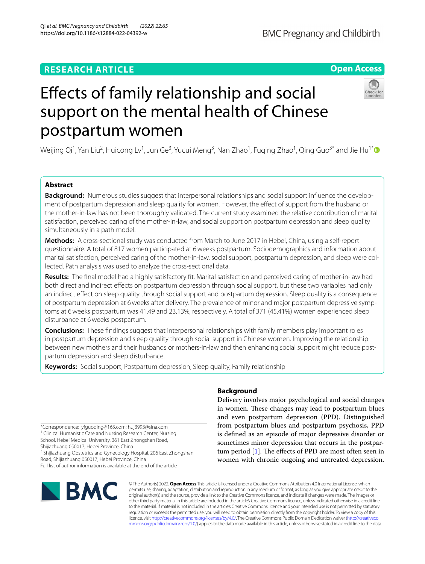# **RESEARCH ARTICLE**

# **Open Access**



# Efects of family relationship and social support on the mental health of Chinese postpartum women

Weijing Qi<sup>1</sup>, Yan Liu<sup>2</sup>, Huicong Lv<sup>1</sup>, Jun Ge<sup>3</sup>, Yucui Meng<sup>3</sup>, Nan Zhao<sup>1</sup>, Fuqing Zhao<sup>1</sup>, Qing Guo<sup>3[\\*](http://orcid.org/0000-0003-4660-4056)</sup> and Jie Hu<sup>1\*</sup>

### **Abstract**

**Background:** Numerous studies suggest that interpersonal relationships and social support influence the development of postpartum depression and sleep quality for women. However, the effect of support from the husband or the mother-in-law has not been thoroughly validated. The current study examined the relative contribution of marital satisfaction, perceived caring of the mother-in-law, and social support on postpartum depression and sleep quality simultaneously in a path model.

**Methods:** A cross-sectional study was conducted from March to June 2017 in Hebei, China, using a self-report questionnaire. A total of 817 women participated at 6weeks postpartum. Sociodemographics and information about marital satisfaction, perceived caring of the mother-in-law, social support, postpartum depression, and sleep were collected. Path analysis was used to analyze the cross-sectional data.

**Results:** The fnal model had a highly satisfactory ft. Marital satisfaction and perceived caring of mother-in-law had both direct and indirect efects on postpartum depression through social support, but these two variables had only an indirect efect on sleep quality through social support and postpartum depression. Sleep quality is a consequence of postpartum depression at 6weeks after delivery. The prevalence of minor and major postpartum depressive symptoms at 6weeks postpartum was 41.49 and 23.13%, respectively. A total of 371 (45.41%) women experienced sleep disturbance at 6weeks postpartum.

**Conclusions:** These fndings suggest that interpersonal relationships with family members play important roles in postpartum depression and sleep quality through social support in Chinese women. Improving the relationship between new mothers and their husbands or mothers-in-law and then enhancing social support might reduce postpartum depression and sleep disturbance.

**Keywords:** Social support, Postpartum depression, Sleep quality, Family relationship

\*Correspondence: yfguoqing@163.com; huj3993@sina.com <sup>1</sup> Clinical Humanistic Care and Nursing Research Center, Nursing School, Hebei Medical University, 361 East Zhongshan Road,

Shijiazhuang 050017, Hebei Province, China

<sup>3</sup> Shijiazhuang Obstetrics and Gynecology Hospital, 206 East Zhongshan Road, Shijiazhuang 050017, Hebei Province, China

Full list of author information is available at the end of the article

# **BMC**

## **Background**

Delivery involves major psychological and social changes in women. These changes may lead to postpartum blues and even postpartum depression (PPD). Distinguished from postpartum blues and postpartum psychosis, PPD is defned as an episode of major depressive disorder or sometimes minor depression that occurs in the postpartum period  $[1]$  $[1]$  $[1]$ . The effects of PPD are most often seen in women with chronic ongoing and untreated depression.

© The Author(s) 2022. **Open Access** This article is licensed under a Creative Commons Attribution 4.0 International License, which permits use, sharing, adaptation, distribution and reproduction in any medium or format, as long as you give appropriate credit to the original author(s) and the source, provide a link to the Creative Commons licence, and indicate if changes were made. The images or other third party material in this article are included in the article's Creative Commons licence, unless indicated otherwise in a credit line to the material. If material is not included in the article's Creative Commons licence and your intended use is not permitted by statutory regulation or exceeds the permitted use, you will need to obtain permission directly from the copyright holder. To view a copy of this licence, visit [http://creativecommons.org/licenses/by/4.0/.](http://creativecommons.org/licenses/by/4.0/) The Creative Commons Public Domain Dedication waiver ([http://creativeco](http://creativecommons.org/publicdomain/zero/1.0/) [mmons.org/publicdomain/zero/1.0/](http://creativecommons.org/publicdomain/zero/1.0/)) applies to the data made available in this article, unless otherwise stated in a credit line to the data.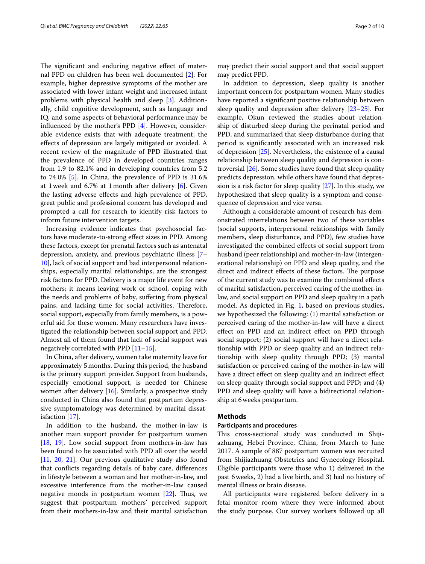The significant and enduring negative effect of maternal PPD on children has been well documented [\[2](#page-8-1)]. For example, higher depressive symptoms of the mother are associated with lower infant weight and increased infant problems with physical health and sleep [[3\]](#page-8-2). Additionally, child cognitive development, such as language and IQ, and some aspects of behavioral performance may be infuenced by the mother's PPD [[4\]](#page-8-3). However, considerable evidence exists that with adequate treatment; the efects of depression are largely mitigated or avoided. A recent review of the magnitude of PPD illustrated that the prevalence of PPD in developed countries ranges from 1.9 to 82.1% and in developing countries from 5.2 to 74.0% [[5\]](#page-8-4). In China, the prevalence of PPD is 31.6% at 1week and 6.7% at 1month after delivery [[6\]](#page-8-5). Given the lasting adverse efects and high prevalence of PPD, great public and professional concern has developed and prompted a call for research to identify risk factors to inform future intervention targets.

Increasing evidence indicates that psychosocial factors have moderate-to-strong efect sizes in PPD. Among these factors, except for prenatal factors such as antenatal depression, anxiety, and previous psychiatric illness [[7–](#page-8-6) [10\]](#page-8-7), lack of social support and bad interpersonal relationships, especially marital relationships, are the strongest risk factors for PPD. Delivery is a major life event for new mothers; it means leaving work or school, coping with the needs and problems of baby, sufering from physical pains, and lacking time for social activities. Therefore, social support, especially from family members, is a powerful aid for these women. Many researchers have investigated the relationship between social support and PPD. Almost all of them found that lack of social support was negatively correlated with PPD [\[11–](#page-8-8)[15\]](#page-8-9).

In China, after delivery, women take maternity leave for approximately 5months. During this period, the husband is the primary support provider. Support from husbands, especially emotional support, is needed for Chinese women after delivery [[16\]](#page-8-10). Similarly, a prospective study conducted in China also found that postpartum depressive symptomatology was determined by marital dissatisfaction [\[17\]](#page-8-11).

In addition to the husband, the mother-in-law is another main support provider for postpartum women [[18,](#page-8-12) [19\]](#page-8-13). Low social support from mothers-in-law has been found to be associated with PPD all over the world [[11,](#page-8-8) [20](#page-8-14), [21](#page-8-15)]. Our previous qualitative study also found that conficts regarding details of baby care, diferences in lifestyle between a woman and her mother-in-law, and excessive interference from the mother-in-law caused negative moods in postpartum women  $[22]$  $[22]$ . Thus, we suggest that postpartum mothers' perceived support from their mothers-in-law and their marital satisfaction may predict their social support and that social support may predict PPD.

In addition to depression, sleep quality is another important concern for postpartum women. Many studies have reported a signifcant positive relationship between sleep quality and depression after delivery [[23–](#page-8-17)[25\]](#page-9-0). For example, Okun reviewed the studies about relationship of disturbed sleep during the perinatal period and PPD, and summarized that sleep disturbance during that period is signifcantly associated with an increased risk of depression [\[25\]](#page-9-0). Nevertheless, the existence of a causal relationship between sleep quality and depression is controversial [\[26](#page-9-1)]. Some studies have found that sleep quality predicts depression, while others have found that depression is a risk factor for sleep quality [[27\]](#page-9-2). In this study, we hypothesized that sleep quality is a symptom and consequence of depression and vice versa.

Although a considerable amount of research has demonstrated interrelations between two of these variables (social supports, interpersonal relationships with family members, sleep disturbance, and PPD), few studies have investigated the combined efects of social support from husband (peer relationship) and mother-in-law (intergenerational relationship) on PPD and sleep quality, and the direct and indirect effects of these factors. The purpose of the current study was to examine the combined efects of marital satisfaction, perceived caring of the mother-inlaw, and social support on PPD and sleep quality in a path model. As depicted in Fig. [1,](#page-2-0) based on previous studies, we hypothesized the following: (1) marital satisfaction or perceived caring of the mother-in-law will have a direct efect on PPD and an indirect efect on PPD through social support; (2) social support will have a direct relationship with PPD or sleep quality and an indirect relationship with sleep quality through PPD; (3) marital satisfaction or perceived caring of the mother-in-law will have a direct efect on sleep quality and an indirect efect on sleep quality through social support and PPD; and (4) PPD and sleep quality will have a bidirectional relationship at 6weeks postpartum.

#### **Methods**

#### **Participants and procedures**

This cross-sectional study was conducted in Shijiazhuang, Hebei Province, China, from March to June 2017. A sample of 887 postpartum women was recruited from Shijiazhuang Obstetrics and Gynecology Hospital. Eligible participants were those who 1) delivered in the past 6weeks, 2) had a live birth, and 3) had no history of mental illness or brain disease.

All participants were registered before delivery in a fetal monitor room where they were informed about the study purpose. Our survey workers followed up all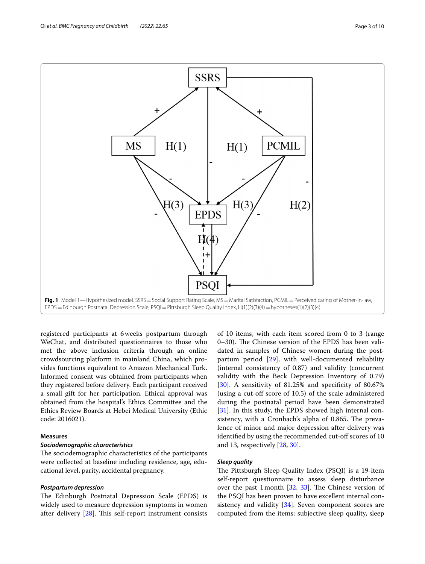

<span id="page-2-0"></span>registered participants at 6weeks postpartum through WeChat, and distributed questionnaires to those who met the above inclusion criteria through an online crowdsourcing platform in mainland China, which provides functions equivalent to Amazon Mechanical Turk. Informed consent was obtained from participants when they registered before delivery. Each participant received a small gift for her participation. Ethical approval was obtained from the hospital's Ethics Committee and the Ethics Review Boards at Hebei Medical University (Ethic code: 2016021).

#### **Measures**

#### *Sociodemographic characteristics*

The sociodemographic characteristics of the participants were collected at baseline including residence, age, educational level, parity, accidental pregnancy.

#### *Postpartum depression*

The Edinburgh Postnatal Depression Scale (EPDS) is widely used to measure depression symptoms in women after delivery  $[28]$  $[28]$  $[28]$ . This self-report instrument consists of 10 items, with each item scored from 0 to 3 (range 0–30). The Chinese version of the EPDS has been validated in samples of Chinese women during the postpartum period [[29\]](#page-9-4), with well-documented reliability (internal consistency of 0.87) and validity (concurrent validity with the Beck Depression Inventory of 0.79) [[30\]](#page-9-5). A sensitivity of 81.25% and specificity of 80.67% (using a cut-of score of 10.5) of the scale administered during the postnatal period have been demonstrated [[31\]](#page-9-6). In this study, the EPDS showed high internal consistency, with a Cronbach's alpha of 0.865. The prevalence of minor and major depression after delivery was identified by using the recommended cut-off scores of 10 and 13, respectively [[28](#page-9-3), [30](#page-9-5)].

#### *Sleep quality*

The Pittsburgh Sleep Quality Index (PSQI) is a 19-item self-report questionnaire to assess sleep disturbance over the past 1 month  $[32, 33]$  $[32, 33]$  $[32, 33]$ . The Chinese version of the PSQI has been proven to have excellent internal con-sistency and validity [[34\]](#page-9-9). Seven component scores are computed from the items: subjective sleep quality, sleep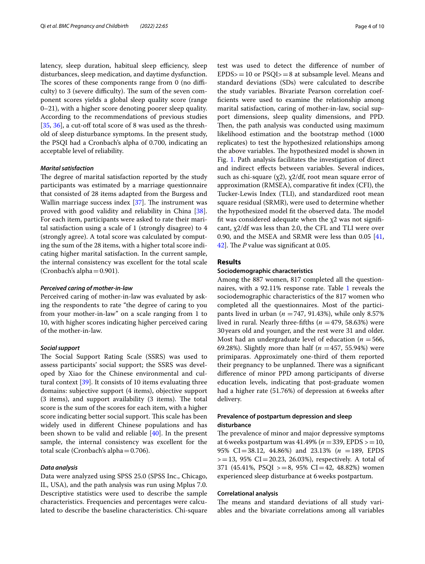latency, sleep duration, habitual sleep efficiency, sleep disturbances, sleep medication, and daytime dysfunction. The scores of these components range from  $0$  (no difficulty) to 3 (severe difficulty). The sum of the seven component scores yields a global sleep quality score (range 0–21), with a higher score denoting poorer sleep quality. According to the recommendations of previous studies [ $35, 36$  $35, 36$ ], a cut-off total score of 8 was used as the threshold of sleep disturbance symptoms. In the present study, the PSQI had a Cronbach's alpha of 0.700, indicating an acceptable level of reliability.

#### *Marital satisfaction*

The degree of marital satisfaction reported by the study participants was estimated by a marriage questionnaire that consisted of 28 items adapted from the Burgess and Wallin marriage success index  $[37]$ . The instrument was proved with good validity and reliability in China [\[38](#page-9-13)]. For each item, participants were asked to rate their marital satisfaction using a scale of 1 (strongly disagree) to 4 (strongly agree). A total score was calculated by computing the sum of the 28 items, with a higher total score indicating higher marital satisfaction. In the current sample, the internal consistency was excellent for the total scale (Cronbach's alpha $=0.901$ ).

#### *Perceived caring of mother‑in‑law*

Perceived caring of mother-in-law was evaluated by asking the respondents to rate "the degree of caring to you from your mother-in-law" on a scale ranging from 1 to 10, with higher scores indicating higher perceived caring of the mother-in-law.

#### *Social support*

The Social Support Rating Scale (SSRS) was used to assess participants' social support; the SSRS was developed by Xiao for the Chinese environmental and cultural context [[39\]](#page-9-14). It consists of 10 items evaluating three domains: subjective support (4 items), objective support  $(3$  items), and support availability  $(3$  items). The total score is the sum of the scores for each item, with a higher score indicating better social support. This scale has been widely used in diferent Chinese populations and has been shown to be valid and reliable [[40\]](#page-9-15). In the present sample, the internal consistency was excellent for the total scale (Cronbach's alpha=0.706).

#### *Data analysis*

Data were analyzed using SPSS 25.0 (SPSS Inc., Chicago, IL, USA), and the path analysis was run using Mplus 7.0. Descriptive statistics were used to describe the sample characteristics. Frequencies and percentages were calculated to describe the baseline characteristics. Chi-square test was used to detect the diference of number of  $EPDS = 10$  or  $PSQI = 8$  at subsample level. Means and standard deviations (SDs) were calculated to describe the study variables. Bivariate Pearson correlation coeffcients were used to examine the relationship among marital satisfaction, caring of mother-in-law, social support dimensions, sleep quality dimensions, and PPD. Then, the path analysis was conducted using maximum likelihood estimation and the bootstrap method (1000 replicates) to test the hypothesized relationships among the above variables. The hypothesized model is shown in Fig. [1.](#page-2-0) Path analysis facilitates the investigation of direct and indirect efects between variables. Several indices, such as chi-square  $(\chi_2)$ ,  $\chi_2$ /df, root mean square error of approximation (RMSEA), comparative ft index (CFI), the Tucker-Lewis Index (TLI), and standardized root mean square residual (SRMR), were used to determine whether the hypothesized model fit the observed data. The model fit was considered adequate when the  $x^2$  was not significant,  $\chi$ 2/df was less than 2.0, the CFL and TLI were over 0.90, and the MSEA and SRMR were less than 0.05 [[41](#page-9-16), [42\]](#page-9-17). The *P* value was significant at 0.05.

#### **Results**

#### **Sociodemographic characteristics**

Among the 887 women, 817 completed all the question-naires, with a 92.[1](#page-4-0)1% response rate. Table 1 reveals the sociodemographic characteristics of the 817 women who completed all the questionnaires. Most of the participants lived in urban ( $n = 747$ , 91.43%), while only 8.57% lived in rural. Nearly three-fifths  $(n = 479, 58.63%)$  were 30years old and younger, and the rest were 31 and older. Most had an undergraduate level of education ( $n = 566$ , 69.28%). Slightly more than half ( $n = 457, 55.94\%$ ) were primiparas. Approximately one-third of them reported their pregnancy to be unplanned. There was a significant diference of minor PPD among participants of diverse education levels, indicating that post-graduate women had a higher rate (51.76%) of depression at 6weeks after delivery.

#### **Prevalence of postpartum depression and sleep disturbance**

The prevalence of minor and major depressive symptoms at 6weeks postpartum was 41.49% (*n* =339, EPDS >=10, 95% CI=38.12, 44.86%) and 23.13% (*n* =189, EPDS  $>=13, 95\%$  CI=20.23, 26.03%), respectively. A total of 371 (45.41%, PSQI  $>=8$ , 95% CI=42, 48.82%) women experienced sleep disturbance at 6weeks postpartum.

#### **Correlational analysis**

The means and standard deviations of all study variables and the bivariate correlations among all variables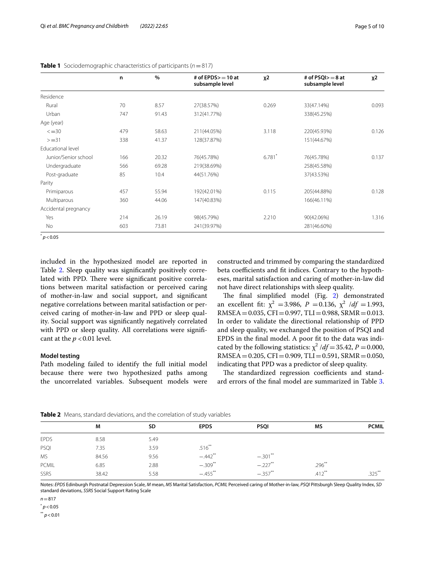|                      | n   | $\frac{0}{0}$ | # of EPDS $> = 10$ at<br>subsample level | $x^2$ | # of $PSQI> = 8$ at<br>subsample level | χ2    |
|----------------------|-----|---------------|------------------------------------------|-------|----------------------------------------|-------|
| Residence            |     |               |                                          |       |                                        |       |
| Rural                | 70  | 8.57          | 27(38.57%)                               | 0.269 | 33(47.14%)                             | 0.093 |
| Urban                | 747 | 91.43         | 312(41.77%)                              |       | 338(45.25%)                            |       |
| Age (year)           |     |               |                                          |       |                                        |       |
| $\leq$ = 30          | 479 | 58.63         | 211(44.05%)                              | 3.118 | 220(45.93%)                            | 0.126 |
| $>=31$               | 338 | 41.37         | 128(37.87%)                              |       | 151(44.67%)                            |       |
| Educational level    |     |               |                                          |       |                                        |       |
| Junior/Senior school | 166 | 20.32         | 76(45.78%)                               | 6.781 | 76(45.78%)                             | 0.137 |
| Undergraduate        | 566 | 69.28         | 219(38.69%)                              |       | 258(45.58%)                            |       |
| Post-graduate        | 85  | 10.4          | 44(51.76%)                               |       | 37(43.53%)                             |       |
| Parity               |     |               |                                          |       |                                        |       |
| Primiparous          | 457 | 55.94         | 192(42.01%)                              | 0.115 | 205(44.88%)                            | 0.128 |
| Multiparous          | 360 | 44.06         | 147(40.83%)                              |       | 166(46.11%)                            |       |
| Accidental pregnancy |     |               |                                          |       |                                        |       |
| Yes                  | 214 | 26.19         | 98(45.79%)                               | 2.210 | 90(42.06%)                             | 1.316 |
| No                   | 603 | 73.81         | 241(39.97%)                              |       | 281(46.60%)                            |       |

<span id="page-4-0"></span>

 $p$  < 0.05

included in the hypothesized model are reported in Table [2.](#page-4-1) Sleep quality was significantly positively correlated with PPD. There were significant positive correlations between marital satisfaction or perceived caring of mother-in-law and social support, and signifcant negative correlations between marital satisfaction or perceived caring of mother-in-law and PPD or sleep quality. Social support was signifcantly negatively correlated with PPD or sleep quality. All correlations were significant at the  $p < 0.01$  level.

#### **Model testing**

Path modeling failed to identify the full initial model because there were two hypothesized paths among the uncorrelated variables. Subsequent models were constructed and trimmed by comparing the standardized beta coefficients and fit indices. Contrary to the hypotheses, marital satisfaction and caring of mother-in-law did not have direct relationships with sleep quality.

The final simplified model (Fig. [2](#page-5-0)) demonstrated an excellent fit:  $\chi^2$  = 3.986, *P* = 0.136,  $\chi^2$  /*df* = 1.993,  $RMSEA = 0.035$ ,  $CFI = 0.997$ ,  $TLI = 0.988$ ,  $SRMR = 0.013$ . In order to validate the directional relationship of PPD and sleep quality, we exchanged the position of PSQI and EPDS in the fnal model. A poor ft to the data was indicated by the following statistics:  $\chi^2$  /*df* = 35.42, *P* = 0.000,  $RMSEA = 0.205$ ,  $CFI = 0.909$ ,  $TLI = 0.591$ ,  $SRMR = 0.050$ , indicating that PPD was a predictor of sleep quality.

The standardized regression coefficients and standard errors of the fnal model are summarized in Table [3](#page-5-1).

|              | M     | SD   | <b>EPDS</b>           | <b>PSQI</b> | <b>MS</b> | <b>PCMIL</b> |
|--------------|-------|------|-----------------------|-------------|-----------|--------------|
| <b>EPDS</b>  | 8.58  | 5.49 |                       |             |           |              |
| PSQI         | 7.35  | 3.59 | $.516***$             |             |           |              |
| MS           | 84.56 | 9.56 | $-.442$ <sup>**</sup> | $-.301$ **  |           |              |
| <b>PCMIL</b> | 6.85  | 2.88 | $-.309***$            | $-.227***$  | $.296**$  |              |
| <b>SSRS</b>  | 38.42 | 5.58 | $-.455$ **            | $-.357***$  | $.412***$ | $.325***$    |
|              |       |      |                       |             |           |              |

<span id="page-4-1"></span>**Table 2** Means, standard deviations, and the correlation of study variables

Notes: *EPDS* Edinburgh Postnatal Depression Scale, *M* mean, *MS* Marital Satisfaction, *PCMIL* Perceived caring of Mother-in-law, *PSQI* Pittsburgh Sleep Quality Index, *SD* standard deviations, *SSRS* Social Support Rating Scale

 $n = 817$ 

 $p$  < 0.05

 $*$ <sup>\*</sup> *p* < 0.01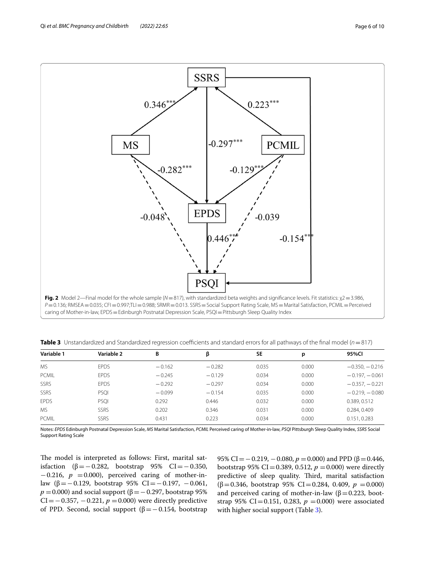![](_page_5_Figure_2.jpeg)

<span id="page-5-0"></span>caring of Mother-in-law, EPDS = Edinburgh Postnatal Depression Scale, PSQI = Pittsburgh Sleep Quality Index

<span id="page-5-1"></span>

|  |  | Table 3 Unstandardized and Standardized regression coefficients and standard errors for all pathways of the final model (n = 817) |  |  |  |  |
|--|--|-----------------------------------------------------------------------------------------------------------------------------------|--|--|--|--|
|--|--|-----------------------------------------------------------------------------------------------------------------------------------|--|--|--|--|

| Variable 1   | Variable 2  | В        | β        | <b>SE</b> | р     | 95%CI            |
|--------------|-------------|----------|----------|-----------|-------|------------------|
| <b>MS</b>    | <b>EPDS</b> | $-0.162$ | $-0.282$ | 0.035     | 0.000 | $-0.350, -0.216$ |
| <b>PCMIL</b> | <b>EPDS</b> | $-0.245$ | $-0.129$ | 0.034     | 0.000 | $-0.197, -0.061$ |
| SSRS         | <b>EPDS</b> | $-0.292$ | $-0.297$ | 0.034     | 0.000 | $-0.357, -0.221$ |
| SSRS         | PSQI        | $-0.099$ | $-0.154$ | 0.035     | 0.000 | $-0.219, -0.080$ |
| <b>FPDS</b>  | PSOI        | 0.292    | 0.446    | 0.032     | 0.000 | 0.389, 0.512     |
| MS.          | SSRS        | 0.202    | 0.346    | 0.031     | 0.000 | 0.284, 0.409     |
| <b>PCMIL</b> | <b>SSRS</b> | 0.431    | 0.223    | 0.034     | 0.000 | 0.151, 0.283     |

Notes: *EPDS* Edinburgh Postnatal Depression Scale, *MS* Marital Satisfaction, *PCMIL* Perceived caring of Mother-in-law, *PSQI* Pittsburgh Sleep Quality Index, *SSRS* Social Support Rating Scale

The model is interpreted as follows: First, marital satisfaction (β = − 0.282, bootstrap 95% CI = − 0.350, −0.216, *p* =0.000), perceived caring of mother-inlaw (β = −0.129, bootstrap 95% CI = −0.197, −0.061,  $p = 0.000$ ) and social support ( $\beta = -0.297$ , bootstrap 95% CI = −0.357, −0.221,  $p$  =0.000) were directly predictive of PPD. Second, social support ( $β = 0.154$ , bootstrap

95% CI = −0.219, −0.080, *p* = 0.000) and PPD (β = 0.446, bootstrap 95% CI=0.389, 0.512,  $p = 0.000$ ) were directly predictive of sleep quality. Third, marital satisfaction  $(β=0.346, bootstrap 95% CI=0.284, 0.409, p=0.000)$ and perceived caring of mother-in-law ( $\beta$  = 0.223, bootstrap 95% CI=0.151, 0.283,  $p = 0.000$ ) were associated with higher social support (Table [3\)](#page-5-1).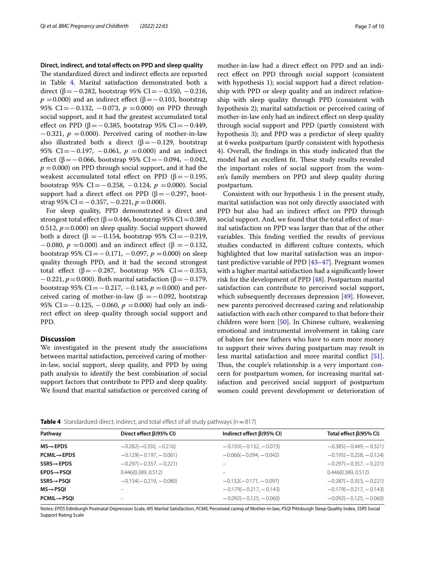**Direct, indirect, and total efects on PPD and sleep quality**

The standardized direct and indirect effects are reported in Table [4](#page-6-0). Marital satisfaction demonstrated both a direct (β =  $-0.282$ , bootstrap 95% CI =  $-0.350$ ,  $-0.216$ ,  $p = 0.000$ ) and an indirect effect ( $\beta = -0.103$ , bootstrap 95% CI = − 0.132, − 0.073, *p* = 0.000) on PPD through social support, and it had the greatest accumulated total effect on PPD (β = −0.385, bootstrap 95% CI = −0.449,  $-0.321$ ,  $p = 0.000$ ). Perceived caring of mother-in-law also illustrated both a direct ( $\beta = -0.129$ , bootstrap 95% CI = − 0.197, − 0.061, *p* = 0.000) and an indirect effect (β =  $-0.066$ , bootstrap 95% CI =  $-0.094$ ,  $-0.042$ ,  $p = 0.000$ ) on PPD through social support, and it had the weakest accumulated total effect on PPD  $(β = -0.195,$ bootstrap 95% CI=−0.258, −0.124, *p* =0.000). Social support had a direct effect on PPD ( $\beta$ = −0.297, bootstrap 95% CI = −0.357, −0.221, *p* = 0.000).

For sleep quality, PPD demonstrated a direct and strongest total effect ( $\beta$  = 0.446, bootstrap 95% CI = 0.389, 0.512,  $p = 0.000$ ) on sleep quality. Social support showed both a direct (β = −0.154, bootstrap 95% CI = −0.219,  $-0.080$ , *p* = 0.000) and an indirect effect (β = -0.132, bootstrap 95% CI=−0.171, −0.097, *p* =0.000) on sleep quality through PPD, and it had the second strongest total effect (β=−0.287, bootstrap 95% CI=−0.353, −0.221, *p*=0.000). Both marital satisfaction (β=−0.179, bootstrap 95% CI=−0.217, −0.143, *p* =0.000) and perceived caring of mother-in-law (β =  $-0.092$ , bootstrap 95% CI = −0.125, −0.060, *p* = 0.000) had only an indirect efect on sleep quality through social support and PPD.

#### **Discussion**

We investigated in the present study the associations between marital satisfaction, perceived caring of motherin-law, social support, sleep quality, and PPD by using path analysis to identify the best combination of social support factors that contribute to PPD and sleep quality. We found that marital satisfaction or perceived caring of mother-in-law had a direct efect on PPD and an indirect efect on PPD through social support (consistent with hypothesis 1); social support had a direct relationship with PPD or sleep quality and an indirect relationship with sleep quality through PPD (consistent with hypothesis 2); marital satisfaction or perceived caring of mother-in-law only had an indirect efect on sleep quality through social support and PPD (partly consistent with hypothesis 3); and PPD was a predictor of sleep quality at 6weeks postpartum (partly consistent with hypothesis 4). Overall, the fndings in this study indicated that the model had an excellent fit. These study results revealed the important roles of social support from the women's family members on PPD and sleep quality during postpartum.

Consistent with our hypothesis 1 in the present study, marital satisfaction was not only directly associated with PPD but also had an indirect effect on PPD through social support. And, we found that the total effect of marital satisfaction on PPD was larger than that of the other variables. This finding verified the results of previous studies conducted in diferent culture contexts, which highlighted that low marital satisfaction was an important predictive variable of PPD [[43](#page-9-18)[–47](#page-9-19)]. Pregnant women with a higher marital satisfaction had a signifcantly lower risk for the development of PPD [\[48](#page-9-20)]. Postpartum marital satisfaction can contribute to perceived social support, which subsequently decreases depression [[49\]](#page-9-21). However, new parents perceived decreased caring and relationship satisfaction with each other compared to that before their children were born [\[50\]](#page-9-22). In Chinese culture, weakening emotional and instrumental involvement in taking care of babies for new fathers who have to earn more money to support their wives during postpartum may result in less marital satisfaction and more marital confict [\[51](#page-9-23)]. Thus, the couple's relationship is a very important concern for postpartum women, for increasing marital satisfaction and perceived social support of postpartum women could prevent development or deterioration of

<span id="page-6-0"></span>**Table 4** Standardized direct, indirect, and total efect of all study pathways (*n*=817)

| Pathway                  | Direct effect $\beta(95\%$ CI) | Indirect effect $\beta(95\%$ CI) | Total effect $\beta(95\%$ CI) |
|--------------------------|--------------------------------|----------------------------------|-------------------------------|
| $MS \rightarrow EPDS$    | $-0.282(-0.350, -0.216)$       | $-0.103(-0.132, -0.073)$         | $-0.385(-0.449,-0.321)$       |
| $PCMIL \rightarrow EPDS$ | $-0.129(-0.197, -0.061)$       | $-0.066(-0.094. - 0.042)$        | $-0.195(-0.258, -0.124)$      |
| $SSRS \rightarrow EPDS$  | $-0.297(-0.357, -0.221)$       |                                  | $-0.297(-0.357, -0.221)$      |
| $EPDS \rightarrow PSOI$  | 0.446(0.389, 0.512)            |                                  | 0.446(0.389, 0.512)           |
| SSRS→PSQI                | $-0.154(-0.219, -0.080)$       | $-0.132(-0.171, -0.097)$         | $-0.287(-0.353, -0.221)$      |
| $MS \rightarrow PSOI$    |                                | $-0.179(-0.217, -0.143)$         | $-0.179(-0.217, -0.143)$      |
| <b>PCMIL→PSOI</b>        |                                | $-0.092(-0.125, -0.060)$         | $-0.092(-0.125, -0.060)$      |
|                          |                                |                                  |                               |

Notes: *EPDS* Edinburgh Postnatal Depression Scale, *MS* Marital Satisfaction, *PCMIL* Perceived caring of Mother-in-law, *PSQI* Pittsburgh Sleep Quality Index, *SSRS* Social Support Rating Scale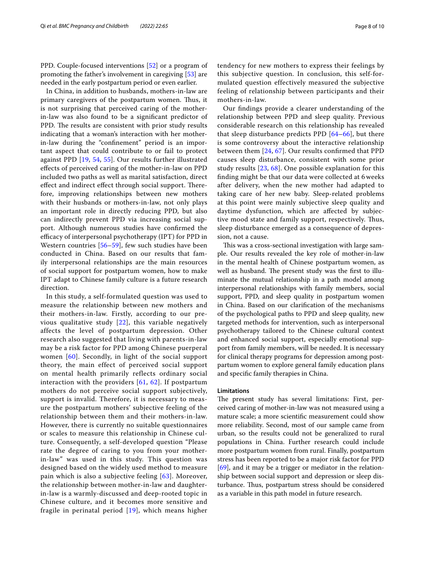PPD. Couple-focused interventions [[52](#page-9-24)] or a program of promoting the father's involvement in caregiving [\[53](#page-9-25)] are needed in the early postpartum period or even earlier.

In China, in addition to husbands, mothers-in-law are primary caregivers of the postpartum women. Thus, it is not surprising that perceived caring of the motherin-law was also found to be a signifcant predictor of PPD. The results are consistent with prior study results indicating that a woman's interaction with her motherin-law during the "confnement" period is an important aspect that could contribute to or fail to protect against PPD [\[19](#page-8-13), [54,](#page-9-26) [55](#page-9-27)]. Our results further illustrated efects of perceived caring of the mother-in-law on PPD included two paths as well as marital satisfaction, direct effect and indirect effect through social support. Therefore, improving relationships between new mothers with their husbands or mothers-in-law, not only plays an important role in directly reducing PPD, but also can indirectly prevent PPD via increasing social support. Although numerous studies have confrmed the efficacy of interpersonal psychotherapy (IPT) for PPD in Western countries [[56–](#page-9-28)[59\]](#page-9-29), few such studies have been conducted in China. Based on our results that family interpersonal relationships are the main resources of social support for postpartum women, how to make IPT adapt to Chinese family culture is a future research direction.

In this study, a self-formulated question was used to measure the relationship between new mothers and their mothers-in-law. Firstly, according to our previous qualitative study [\[22\]](#page-8-16), this variable negatively affects the level of postpartum depression. Other research also suggested that living with parents-in-law may be a risk factor for PPD among Chinese puerperal women [[60](#page-9-30)]. Secondly, in light of the social support theory, the main effect of perceived social support on mental health primarily reflects ordinary social interaction with the providers  $[61, 62]$  $[61, 62]$  $[61, 62]$  $[61, 62]$  $[61, 62]$ . If postpartum mothers do not perceive social support subjectively, support is invalid. Therefore, it is necessary to measure the postpartum mothers' subjective feeling of the relationship between them and their mothers-in-law. However, there is currently no suitable questionnaires or scales to measure this relationship in Chinese culture. Consequently, a self-developed question "Please rate the degree of caring to you from your motherin-law" was used in this study. This question was designed based on the widely used method to measure pain which is also a subjective feeling [\[63\]](#page-9-33). Moreover, the relationship between mother-in-law and daughterin-law is a warmly-discussed and deep-rooted topic in Chinese culture, and it becomes more sensitive and fragile in perinatal period [[19\]](#page-8-13), which means higher mothers-in-law. Our fndings provide a clearer understanding of the relationship between PPD and sleep quality. Previous considerable research on this relationship has revealed that sleep disturbance predicts PPD  $[64–66]$  $[64–66]$ , but there is some controversy about the interactive relationship between them [[24,](#page-8-18) [67\]](#page-9-36). Our results confrmed that PPD causes sleep disturbance, consistent with some prior study results [\[23,](#page-8-17) [68\]](#page-9-37). One possible explanation for this fnding might be that our data were collected at 6 weeks after delivery, when the new mother had adapted to taking care of her new baby. Sleep-related problems at this point were mainly subjective sleep quality and daytime dysfunction, which are afected by subjective mood state and family support, respectively. Thus, sleep disturbance emerged as a consequence of depression, not a cause.

This was a cross-sectional investigation with large sample. Our results revealed the key role of mother-in-law in the mental health of Chinese postpartum women, as well as husband. The present study was the first to illuminate the mutual relationship in a path model among interpersonal relationships with family members, social support, PPD, and sleep quality in postpartum women in China. Based on our clarifcation of the mechanisms of the psychological paths to PPD and sleep quality, new targeted methods for intervention, such as interpersonal psychotherapy tailored to the Chinese cultural context and enhanced social support, especially emotional support from family members, will be needed. It is necessary for clinical therapy programs for depression among postpartum women to explore general family education plans and specifc family therapies in China.

#### **Limitations**

The present study has several limitations: First, perceived caring of mother-in-law was not measured using a mature scale; a more scientifc measurement could show more reliability. Second, most of our sample came from urban, so the results could not be generalized to rural populations in China. Further research could include more postpartum women from rural. Finally, postpartum stress has been reported to be a major risk factor for PPD [[69\]](#page-9-38), and it may be a trigger or mediator in the relationship between social support and depression or sleep disturbance. Thus, postpartum stress should be considered as a variable in this path model in future research.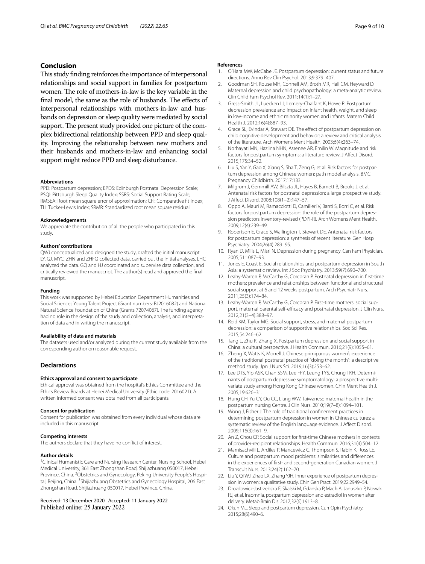#### **Conclusion**

This study finding reinforces the importance of interpersonal relationships and social support in families for postpartum women. The role of mothers-in-law is the key variable in the final model, the same as the role of husbands. The effects of interpersonal relationships with mothers-in-law and husbands on depression or sleep quality were mediated by social support. The present study provided one picture of the complex bidirectional relationship between PPD and sleep quality. Improving the relationship between new mothers and their husbands and mothers-in-law and enhancing social support might reduce PPD and sleep disturbance.

#### **Abbreviations**

PPD: Postpartum depression; EPDS: Edinburgh Postnatal Depression Scale; PSQI: Pittsburgh Sleep Quality Index; SSRS: Social Support Rating Scale; RMSEA: Root mean square error of approximation; CFI: Comparative ft index; TLI: Tucker-Lewis Index; SRMR: Standardized root mean square residual.

#### **Acknowledgements**

We appreciate the contribution of all the people who participated in this study.

#### **Authors' contributions**

QWJ conceptualized and designed the study, drafted the initial manuscript. LY, GJ, MYC, ZHN and ZHFQ collected data, carried out the initial analyses. LHC analyzed the data. GQ and HJ coordinated and supervise data collection, and critically reviewed the manuscript. The author(s) read and approved the fnal manuscript.

#### **Funding**

This work was supported by Hebei Education Department Humanities and Social Sciences Young Talent Project (Grant numbers: BJ2016082) and National Natural Science Foundation of China (Grants 72074067). The funding agency had no role in the design of the study and collection, analysis, and interpretation of data and in writing the manuscript.

#### **Availability of data and materials**

The datasets used and/or analyzed during the current study available from the corresponding author on reasonable request.

#### **Declarations**

#### **Ethics approval and consent to participate**

Ethical approval was obtained from the hospital's Ethics Committee and the Ethics Review Boards at Hebei Medical University (Ethic code: 2016021). A written informed consent was obtained from all participants.

#### **Consent for publication**

Consent for publication was obtained from every individual whose data are included in this manuscript.

#### **Competing interests**

The authors declare that they have no confict of interest.

#### **Author details**

<sup>1</sup> Clinical Humanistic Care and Nursing Research Center, Nursing School, Hebei Medical University, 361 East Zhongshan Road, Shijiazhuang 050017, Hebei Province, China. <sup>2</sup>Obstetrics and Gynecology, Peking University People's Hospital, Beijing, China. <sup>3</sup>Shijiazhuang Obstetrics and Gynecology Hospital, 206 East Zhongshan Road, Shijiazhuang 050017, Hebei Province, China.

#### Received: 13 December 2020 Accepted: 11 January 2022 Published online: 25 January 2022

#### **References**

- <span id="page-8-0"></span>1. O'Hara MW, McCabe JE. Postpartum depression: current status and future directions. Annu Rev Clin Psychol. 2013;9:379–407.
- <span id="page-8-1"></span>2. Goodman SH, Rouse MH, Connell AM, Broth MR, Hall CM, Heyward D. Maternal depression and child psychopathology: a meta-analytic review. Clin Child Fam Psychol Rev. 2011;14(1):1–27.
- <span id="page-8-2"></span>3. Gress-Smith JL, Luecken LJ, Lemery-Chalfant K, Howe R. Postpartum depression prevalence and impact on infant health, weight, and sleep in low-income and ethnic minority women and infants. Matern Child Health J. 2012;16(4):887–93.
- <span id="page-8-3"></span>4. Grace SL, Evindar A, Stewart DE. The effect of postpartum depression on child cognitive development and behavior: a review and critical analysis of the literature. Arch Womens Ment Health. 2003;6(4):263–74.
- <span id="page-8-4"></span>5. Norhayati MN, Hazlina NHN, Asrenee AR, Emilin W. Magnitude and risk factors for postpartum symptoms: a literature review. J Afect Disord. 2015;175:34–52.
- <span id="page-8-5"></span>6. Liu S, Yan Y, Gao X, Xiang S, Sha T, Zeng G, et al. Risk factors for postpartum depression among Chinese women: path model analysis. BMC Pregnancy Childbirth. 2017;17:133.
- <span id="page-8-6"></span>7. Milgrom J, Gemmill AW, Bilszta JL, Hayes B, Barnett B, Brooks J, et al. Antenatal risk factors for postnatal depression: a large prospective study. J Afect Disord. 2008;108(1–2):147–57.
- 8. Oppo A, Mauri M, Ramacciotti D, Camilleri V, Banti S, Borri C, et al. Risk factors for postpartum depression: the role of the postpartum depression predictors inventory-revised (PDPI-R). Arch Womens Ment Health. 2009;12(4):239–49.
- 9. Robertson E, Grace S, Wallington T, Stewart DE. Antenatal risk factors for postpartum depression: a synthesis of recent literature. Gen Hosp Psychiatry. 2004;26(4):289–95.
- <span id="page-8-7"></span>10. Ryan D, Milis L, Misri N. Depression during pregnancy. Can Fam Physician. 2005;51:1087–93.
- <span id="page-8-8"></span>11. Jones E, Coast E. Social relationships and postpartum depression in South Asia: a systematic review. Int J Soc Psychiatry. 2013;59(7):690–700.
- 12. Leahy-Warren P, McCarthy G, Corcoran P. Postnatal depression in frst-time mothers: prevalence and relationships between functional and structural social support at 6 and 12 weeks postpartum. Arch Psychiatr Nurs. 2011;25(3):174–84.
- 13. Leahy-Warren P, McCarthy G, Corcoran P. First-time mothers: social support, maternal parental self-efficacy and postnatal depression. J Clin Nurs. 2012;21(3–4):388–97.
- 14. Reid KM, Taylor MG. Social support, stress, and maternal postpartum depression: a comparison of supportive relationships. Soc Sci Res. 2015;54:246–62.
- <span id="page-8-9"></span>15. Tang L, Zhu R, Zhang X. Postpartum depression and social support in China: a cultural perspective. J Health Commun. 2016;21(9):1055–61.
- <span id="page-8-10"></span>16. Zheng X, Watts K, Morrell J. Chinese primiparous women's experience of the traditional postnatal practice of "doing the month": a descriptive method study. Jpn J Nurs Sci. 2019;16(3):253–62.
- <span id="page-8-11"></span>17. Lee DTS, Yip ASK, Chan SSM, Lee FFY, Leung TYS, Chung TKH. Determinants of postpartum depressive symptomatology: a prospective multivariate study among Hong Kong Chinese women. Chin Ment Health J. 2005;19:626–31.
- <span id="page-8-12"></span>18. Hung CH, Yu CY, Ou CC, Liang WW. Taiwanese maternal health in the postpartum nursing Centre. J Clin Nurs. 2010;19(7–8):1094–101.
- <span id="page-8-13"></span>19. Wong J, Fisher J. The role of traditional confnement practices in determining postpartum depression in women in Chinese cultures: a systematic review of the English language evidence. J Afect Disord. 2009;116(3):161–9.
- <span id="page-8-14"></span>20. An Z, Chou CP. Social support for frst-time Chinese mothers in contexts of provider-recipient relationships. Health Commun. 2016;31(4):504–12.
- <span id="page-8-15"></span>21. Mamisachvili L, Ardiles P, Mancewicz G, Thompson S, Rabin K, Ross LE. Culture and postpartum mood problems: similarities and diferences in the experiences of frst- and second-generation Canadian women. J Transcult Nurs. 2013;24(2):162–70.
- <span id="page-8-16"></span>22. Liu Y, Qi WJ, Zhao LX, Zhang YJH. Inner experience of postpartum depression in women: a qualitative study. Chin Gen Pract. 2019;22:2949–54.
- <span id="page-8-17"></span>23. Drozdowicz-Jastrzebska E, Skalski M, Gdanska P, Mach A, Januszko P, Nowak RJ, et al. Insomnia, postpartum depression and estradiol in women after delivery. Metab Brain Dis. 2017;32(6):1913–8.
- <span id="page-8-18"></span>24. Okun ML. Sleep and postpartum depression. Curr Opin Psychiatry. 2015;28(6):490–6.